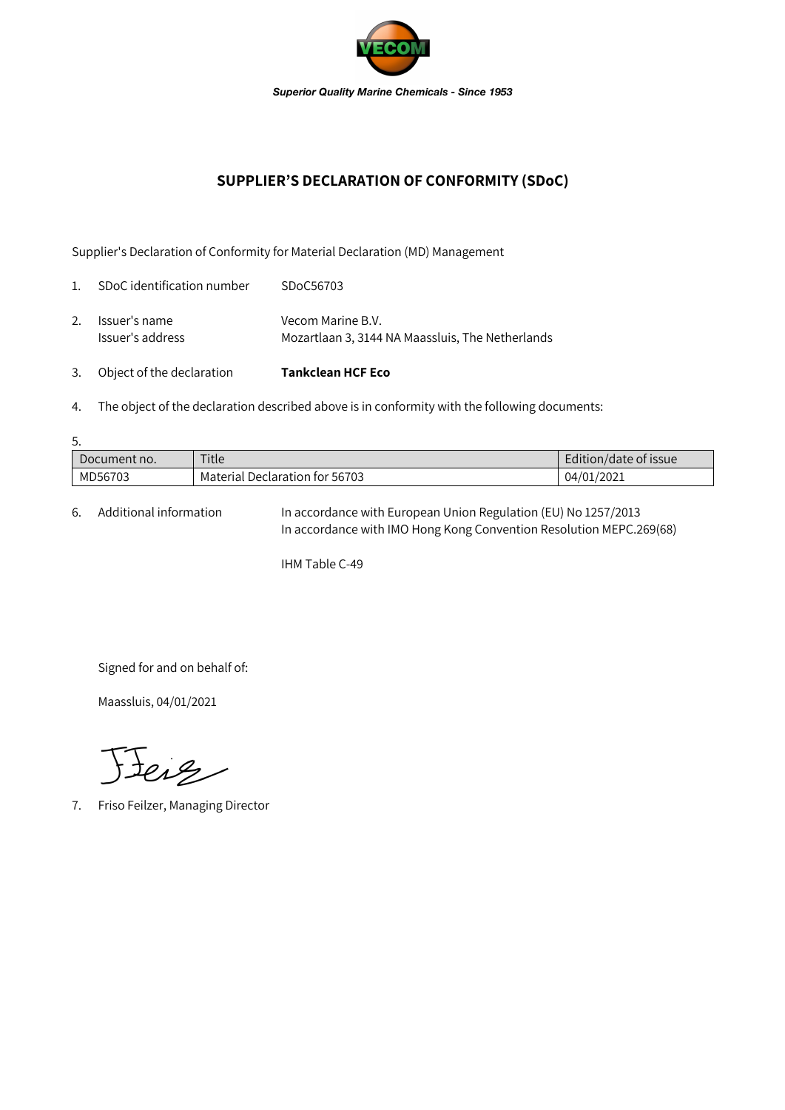

## **SUPPLIER'S DECLARATION OF CONFORMITY (SDoC)**

Supplier's Declaration of Conformity for Material Declaration (MD) Management

| 3.             | Object of the declaration         | <b>Tankclean HCF Eco</b>                                              |
|----------------|-----------------------------------|-----------------------------------------------------------------------|
| 2.             | Issuer's name<br>Issuer's address | Vecom Marine B.V.<br>Mozartlaan 3, 3144 NA Maassluis, The Netherlands |
| $\mathbf{1}$ . | SDoC identification number        | SDoC56703                                                             |

4. The object of the declaration described above is in conformity with the following documents:

| 5.           |                                |                       |  |  |  |  |
|--------------|--------------------------------|-----------------------|--|--|--|--|
| Document no. | Title                          | Edition/date of issue |  |  |  |  |
| MD56703      | Material Declaration for 56703 | 04/01/2021            |  |  |  |  |

6. Additional information In accordance with European Union Regulation (EU) No 1257/2013 In accordance with IMO Hong Kong Convention Resolution MEPC.269(68)

IHM Table C-49

Signed for and on behalf of:

Maassluis, 04/01/2021

Jeig

7. Friso Feilzer, Managing Director